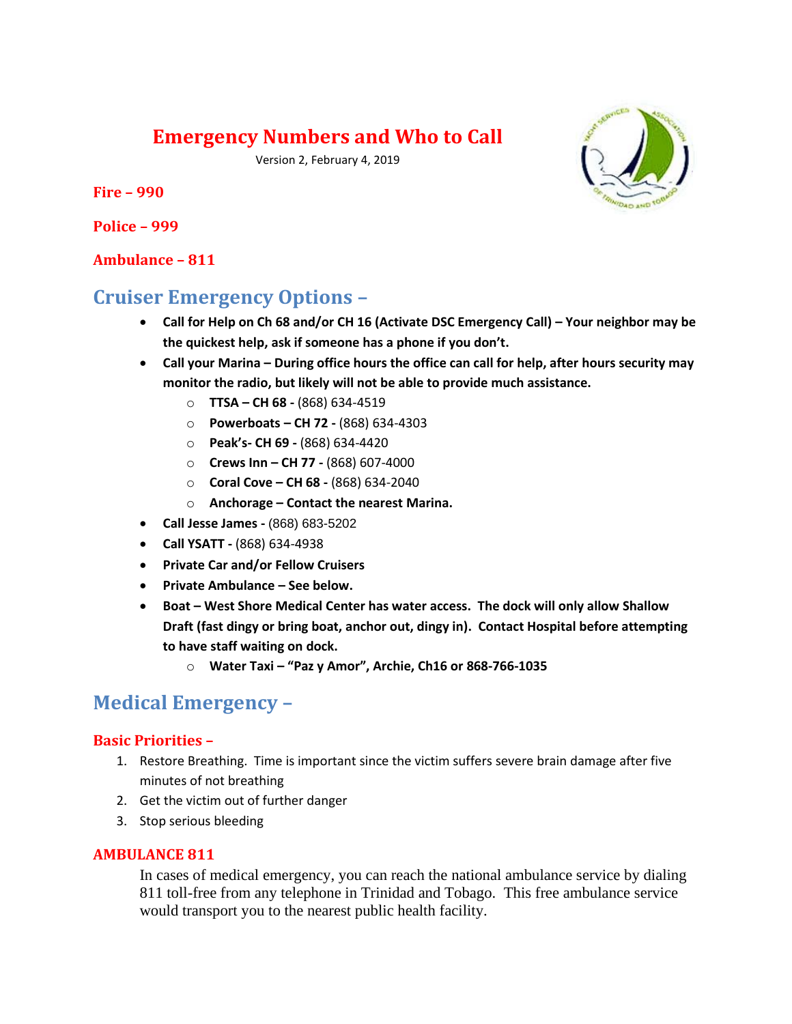# **Emergency Numbers and Who to Call**

Version 2, February 4, 2019

**Fire – 990**

**Police – 999**

#### **Ambulance – 811**

# **Cruiser Emergency Options –**

- **Call for Help on Ch 68 and/or CH 16 (Activate DSC Emergency Call) – Your neighbor may be the quickest help, ask if someone has a phone if you don't.**
- **Call your Marina – During office hours the office can call for help, after hours security may monitor the radio, but likely will not be able to provide much assistance.**
	- o **TTSA – CH 68 -** (868) 634-4519
	- o **Powerboats – CH 72 -** (868) 634-4303
	- o **Peak's- CH 69 -** (868) 634-4420
	- o **Crews Inn – CH 77 -** (868) 607-4000
	- o **Coral Cove – CH 68 -** (868) 634-2040
	- o **Anchorage – Contact the nearest Marina.**
- **Call Jesse James -** (868) 683-5202
- **Call YSATT -** (868) 634-4938
- **Private Car and/or Fellow Cruisers**
- **Private Ambulance – See below.**
- **Boat – West Shore Medical Center has water access. The dock will only allow Shallow Draft (fast dingy or bring boat, anchor out, dingy in). Contact Hospital before attempting to have staff waiting on dock.**
	- o **Water Taxi – "Paz y Amor", Archie, Ch16 or 868-766-1035**

## **Medical Emergency –**

#### **Basic Priorities –**

- 1. Restore Breathing. Time is important since the victim suffers severe brain damage after five minutes of not breathing
- 2. Get the victim out of further danger
- 3. Stop serious bleeding

#### **AMBULANCE 811**

In cases of medical emergency, you can reach the national ambulance service by dialing 811 toll-free from any telephone in Trinidad and Tobago. This free ambulance service would transport you to the nearest public health facility.

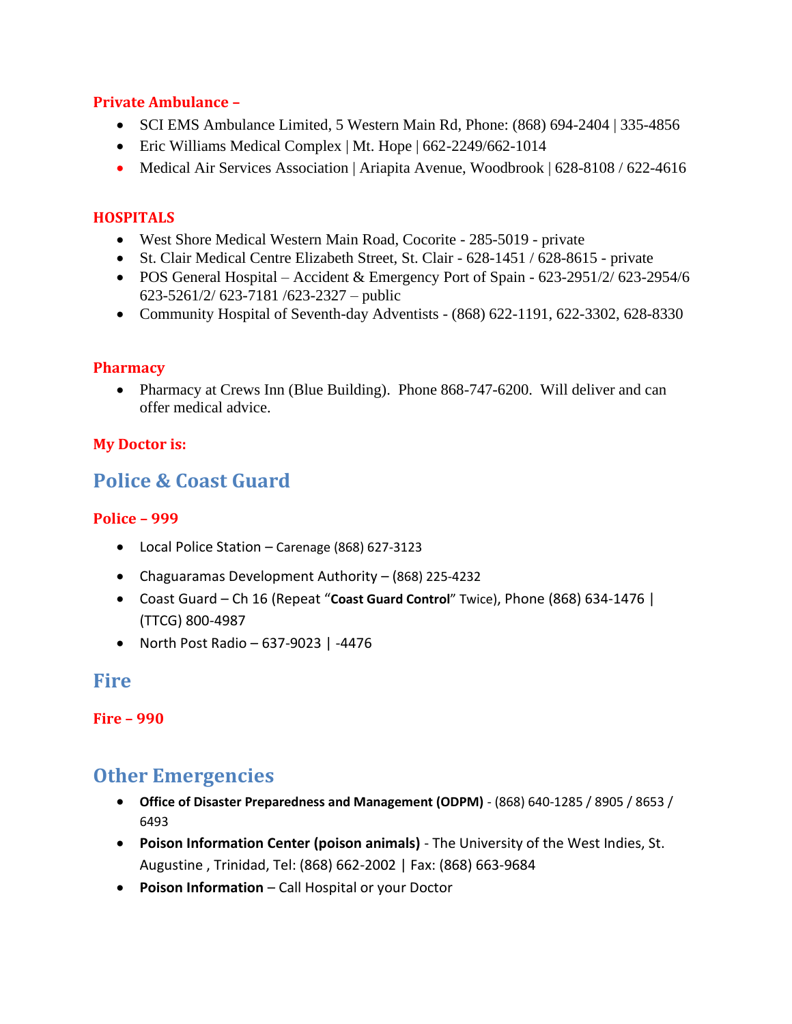#### **Private Ambulance –**

- SCI EMS Ambulance Limited, 5 Western Main Rd, Phone: (868) 694-2404 | 335-4856
- Eric Williams Medical Complex | Mt. Hope | 662-2249/662-1014
- Medical Air Services Association | Ariapita Avenue, Woodbrook | 628-8108 / 622-4616

## **HOSPITALS**

- West Shore Medical Western Main Road, Cocorite 285-5019 private
- St. Clair Medical Centre Elizabeth Street, St. Clair 628-1451 / 628-8615 private
- POS General Hospital Accident & Emergency Port of Spain 623-2951/2/ 623-2954/6 623-5261/2/ 623-7181 /623-2327 – public
- Community Hospital of Seventh-day Adventists (868) 622-1191, 622-3302, 628-8330

#### **Pharmacy**

• Pharmacy at Crews Inn (Blue Building). Phone 868-747-6200. Will deliver and can offer medical advice.

## **My Doctor is:**

# **Police & Coast Guard**

## **Police – 999**

- Local Police Station Carenage (868) 627-3123
- Chaguaramas Development Authority (868) 225-4232
- Coast Guard Ch 16 (Repeat "**Coast Guard Control**" Twice), Phone (868) 634-1476 | (TTCG) 800-4987
- North Post Radio 637-9023 | -4476

**Fire**

**Fire – 990**

# **Other Emergencies**

- **Office of Disaster Preparedness and Management (ODPM)** (868) 640-1285 / 8905 / 8653 / 6493
- **Poison Information Center (poison animals)** The University of the West Indies, St. Augustine , Trinidad, Tel: (868) 662-2002 | Fax: (868) 663-9684
- **Poison Information**  Call Hospital or your Doctor